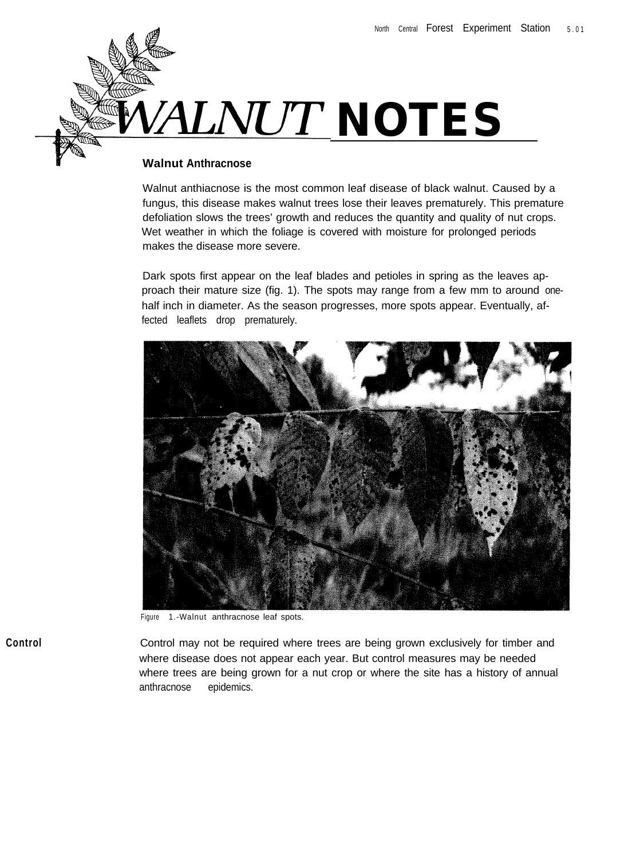

## **Walnut Anthracnose**

Walnut anthiacnose is the most common leaf disease of black walnut. Caused by a fungus, this disease makes walnut trees lose their leaves prematurely. This premature defoliation slows the trees' growth and reduces the quantity and quality of nut crops. Wet weather in which the foliage is covered with moisture for prolonged periods makes the disease more severe.

Dark spots first appear on the leaf blades and petioles in spring as the leaves approach their mature size (fig. 1). The spots may range from a few mm to around onehalf inch in diameter. As the season progresses, more spots appear. Eventually, affected leaflets drop prematurely.



Figure 1.-Walnut anthracnose leaf spots.

Control may not be required where trees are being grown exclusively for timber and where disease does not appear each year. But control measures may be needed where trees are being grown for a nut crop or where the site has a history of annual anthracnose epidemics.

**Control**